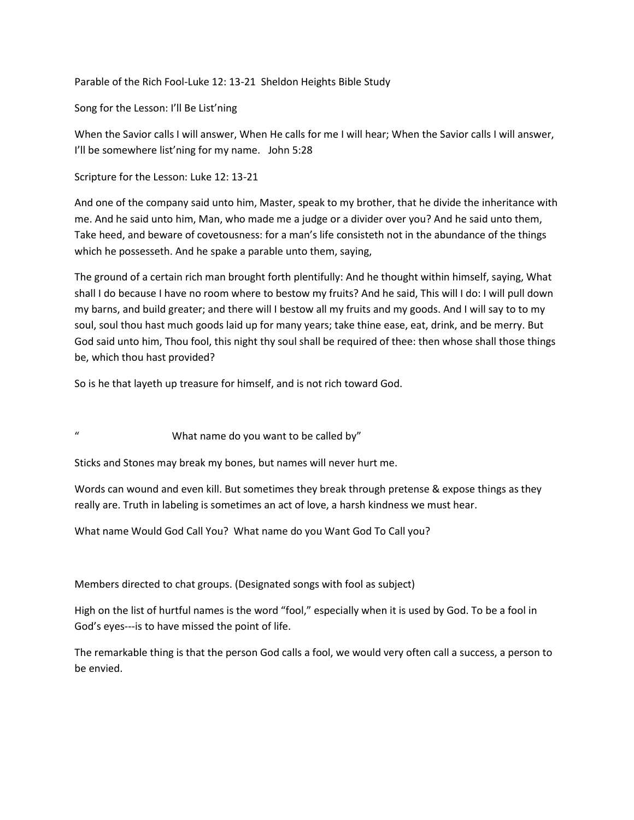Parable of the Rich Fool-Luke 12: 13-21 Sheldon Heights Bible Study

Song for the Lesson: I'll Be List'ning

When the Savior calls I will answer, When He calls for me I will hear; When the Savior calls I will answer, I'll be somewhere list'ning for my name. John 5:28

Scripture for the Lesson: Luke 12: 13-21

And one of the company said unto him, Master, speak to my brother, that he divide the inheritance with me. And he said unto him, Man, who made me a judge or a divider over you? And he said unto them, Take heed, and beware of covetousness: for a man's life consisteth not in the abundance of the things which he possesseth. And he spake a parable unto them, saying,

The ground of a certain rich man brought forth plentifully: And he thought within himself, saying, What shall I do because I have no room where to bestow my fruits? And he said, This will I do: I will pull down my barns, and build greater; and there will I bestow all my fruits and my goods. And I will say to to my soul, soul thou hast much goods laid up for many years; take thine ease, eat, drink, and be merry. But God said unto him, Thou fool, this night thy soul shall be required of thee: then whose shall those things be, which thou hast provided?

So is he that layeth up treasure for himself, and is not rich toward God.

" What name do you want to be called by"

Sticks and Stones may break my bones, but names will never hurt me.

Words can wound and even kill. But sometimes they break through pretense & expose things as they really are. Truth in labeling is sometimes an act of love, a harsh kindness we must hear.

What name Would God Call You? What name do you Want God To Call you?

Members directed to chat groups. (Designated songs with fool as subject)

High on the list of hurtful names is the word "fool," especially when it is used by God. To be a fool in God's eyes---is to have missed the point of life.

The remarkable thing is that the person God calls a fool, we would very often call a success, a person to be envied.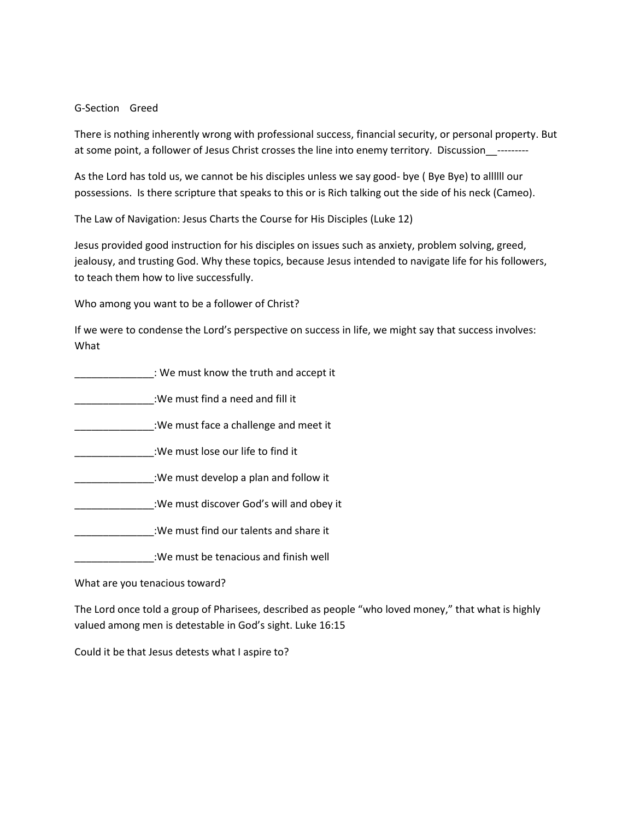## G-Section Greed

There is nothing inherently wrong with professional success, financial security, or personal property. But at some point, a follower of Jesus Christ crosses the line into enemy territory. Discussion ---------

As the Lord has told us, we cannot be his disciples unless we say good- bye ( Bye Bye) to allllll our possessions. Is there scripture that speaks to this or is Rich talking out the side of his neck (Cameo).

The Law of Navigation: Jesus Charts the Course for His Disciples (Luke 12)

Jesus provided good instruction for his disciples on issues such as anxiety, problem solving, greed, jealousy, and trusting God. Why these topics, because Jesus intended to navigate life for his followers, to teach them how to live successfully.

Who among you want to be a follower of Christ?

If we were to condense the Lord's perspective on success in life, we might say that success involves: What

| : We must know the truth and accept it   |
|------------------------------------------|
| :We must find a need and fill it         |
| :We must face a challenge and meet it    |
| :We must lose our life to find it        |
| :We must develop a plan and follow it    |
| :We must discover God's will and obey it |
| :We must find our talents and share it   |
| :We must be tenacious and finish well    |

What are you tenacious toward?

The Lord once told a group of Pharisees, described as people "who loved money," that what is highly valued among men is detestable in God's sight. Luke 16:15

Could it be that Jesus detests what I aspire to?